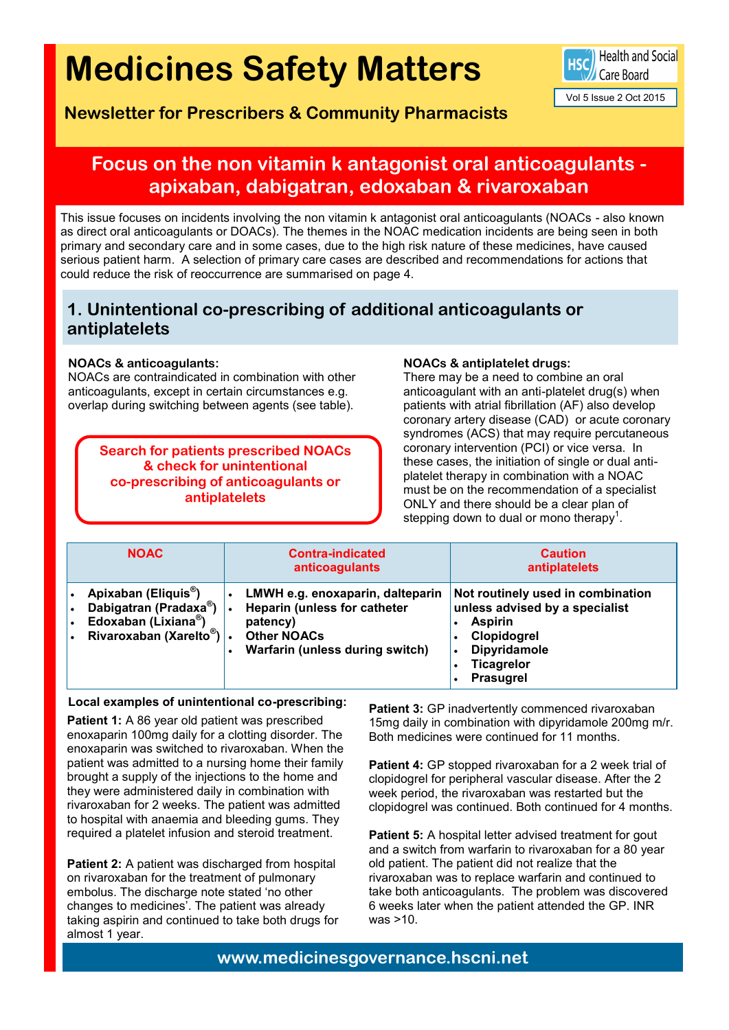# **Medicines Safety Matters**

**Newsletter for Prescribers & Community Pharmacists**

Health and Social Care Board

Vol 5 Issue 2 Oct 2015

# **Focus on the non vitamin k antagonist oral anticoagulants apixaban, dabigatran, edoxaban & rivaroxaban**

This issue focuses on incidents involving the non vitamin k antagonist oral anticoagulants (NOACs - also known as direct oral anticoagulants or DOACs). The themes in the NOAC medication incidents are being seen in both primary and secondary care and in some cases, due to the high risk nature of these medicines, have caused serious patient harm. A selection of primary care cases are described and recommendations for actions that could reduce the risk of reoccurrence are summarised on page 4.

### **1. Unintentional co-prescribing of additional anticoagulants or antiplatelets**

### **NOACs & anticoagulants:**

NOACs are contraindicated in combination with other anticoagulants, except in certain circumstances e.g. overlap during switching between agents (see table).

> **Search for patients prescribed NOACs & check for unintentional co-prescribing of anticoagulants or antiplatelets**

#### **NOACs & antiplatelet drugs:**

There may be a need to combine an oral anticoagulant with an anti-platelet drug(s) when patients with atrial fibrillation (AF) also develop coronary artery disease (CAD) or acute coronary syndromes (ACS) that may require percutaneous coronary intervention (PCI) or vice versa. In these cases, the initiation of single or dual antiplatelet therapy in combination with a NOAC must be on the recommendation of a specialist ONLY and there should be a clear plan of stepping down to dual or mono therapy<sup>1</sup>.

| <b>NOAC</b>                                                                                                             | <b>Contra-indicated</b><br>anticoagulants                                                                                                    | <b>Caution</b><br>antiplatelets                                                                                                                                     |
|-------------------------------------------------------------------------------------------------------------------------|----------------------------------------------------------------------------------------------------------------------------------------------|---------------------------------------------------------------------------------------------------------------------------------------------------------------------|
| Apixaban (Eliquis <sup>®</sup> )<br>Dabigatran (Pradaxa®)<br>Edoxaban (Lixiana®)<br>Rivaroxaban (Xarelto <sup>®</sup> ) | LMWH e.g. enoxaparin, dalteparin<br><b>Heparin (unless for catheter</b><br>patency)<br><b>Other NOACs</b><br>Warfarin (unless during switch) | Not routinely used in combination<br>unless advised by a specialist<br><b>Aspirin</b><br>Clopidogrel<br>Dipyridamole<br>$\bullet$<br><b>Ticagrelor</b><br>Prasugrel |

#### **Local examples of unintentional co-prescribing:**

Patient 1: A 86 year old patient was prescribed enoxaparin 100mg daily for a clotting disorder. The enoxaparin was switched to rivaroxaban. When the patient was admitted to a nursing home their family brought a supply of the injections to the home and they were administered daily in combination with rivaroxaban for 2 weeks. The patient was admitted to hospital with anaemia and bleeding gums. They required a platelet infusion and steroid treatment.

**Patient 2:** A patient was discharged from hospital on rivaroxaban for the treatment of pulmonary embolus. The discharge note stated 'no other changes to medicines'. The patient was already taking aspirin and continued to take both drugs for almost 1 year.

Patient 3: GP inadvertently commenced rivaroxaban 15mg daily in combination with dipyridamole 200mg m/r. Both medicines were continued for 11 months.

**Patient 4:** GP stopped rivaroxaban for a 2 week trial of clopidogrel for peripheral vascular disease. After the 2 week period, the rivaroxaban was restarted but the clopidogrel was continued. Both continued for 4 months.

Patient 5: A hospital letter advised treatment for gout and a switch from warfarin to rivaroxaban for a 80 year old patient. The patient did not realize that the rivaroxaban was to replace warfarin and continued to take both anticoagulants. The problem was discovered 6 weeks later when the patient attended the GP. INR was >10.

**www.medicinesgovernance.hscni.net**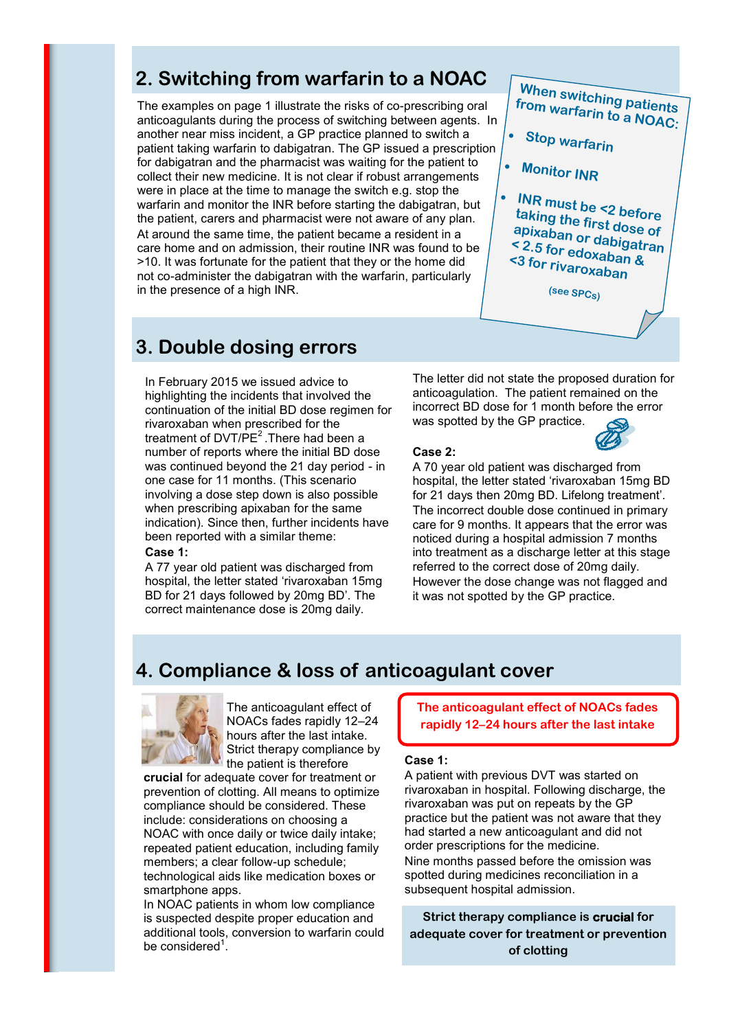# **2. Switching from warfarin to a NOAC**

The examples on page 1 illustrate the risks of co-prescribing oral anticoagulants during the process of switching between agents. In another near miss incident, a GP practice planned to switch a patient taking warfarin to dabigatran. The GP issued a prescription for dabigatran and the pharmacist was waiting for the patient to collect their new medicine. It is not clear if robust arrangements were in place at the time to manage the switch e.g. stop the warfarin and monitor the INR before starting the dabigatran, but the patient, carers and pharmacist were not aware of any plan. At around the same time, the patient became a resident in a care home and on admission, their routine INR was found to be >10. It was fortunate for the patient that they or the home did not co-administer the dabigatran with the warfarin, particularly in the presence of a high INR.



**Stop warfarin**

**Monitor INR**

۰

۰

 **INR must be <2 before taking the first dose of apixaban or dabigatran < 2.5 for edoxaban & <3 for rivaroxaban**

**(see SPCs)**

# **3. Double dosing errors**

In February 2015 we issued advice to highlighting the incidents that involved the continuation of the initial BD dose regimen for rivaroxaban when prescribed for the treatment of  $DVT/PE<sup>2</sup>$ . There had been a number of reports where the initial BD dose was continued beyond the 21 day period - in one case for 11 months. (This scenario involving a dose step down is also possible when prescribing apixaban for the same indication). Since then, further incidents have been reported with a similar theme: **Case 1:**

A 77 year old patient was discharged from hospital, the letter stated 'rivaroxaban 15mg BD for 21 days followed by 20mg BD'. The correct maintenance dose is 20mg daily.

The letter did not state the proposed duration for anticoagulation. The patient remained on the incorrect BD dose for 1 month before the error was spotted by the GP practice.

#### **Case 2:**

A 70 year old patient was discharged from hospital, the letter stated 'rivaroxaban 15mg BD for 21 days then 20mg BD. Lifelong treatment'. The incorrect double dose continued in primary care for 9 months. It appears that the error was noticed during a hospital admission 7 months into treatment as a discharge letter at this stage referred to the correct dose of 20mg daily. However the dose change was not flagged and it was not spotted by the GP practice.

### **4. Compliance & loss of anticoagulant cover**



The anticoagulant effect of NOACs fades rapidly 12–24 hours after the last intake. Strict therapy compliance by the patient is therefore

**crucial** for adequate cover for treatment or prevention of clotting. All means to optimize compliance should be considered. These include: considerations on choosing a NOAC with once daily or twice daily intake; repeated patient education, including family members; a clear follow-up schedule; technological aids like medication boxes or smartphone apps.

In NOAC patients in whom low compliance is suspected despite proper education and additional tools, conversion to warfarin could be considered<sup>1</sup>.

**The anticoagulant effect of NOACs fades rapidly 12–24 hours after the last intake**

#### **Case 1:**

A patient with previous DVT was started on rivaroxaban in hospital. Following discharge, the rivaroxaban was put on repeats by the GP practice but the patient was not aware that they had started a new anticoagulant and did not order prescriptions for the medicine. Nine months passed before the omission was spotted during medicines reconciliation in a subsequent hospital admission.

**Strict therapy compliance is crucial for adequate cover for treatment or prevention of clotting**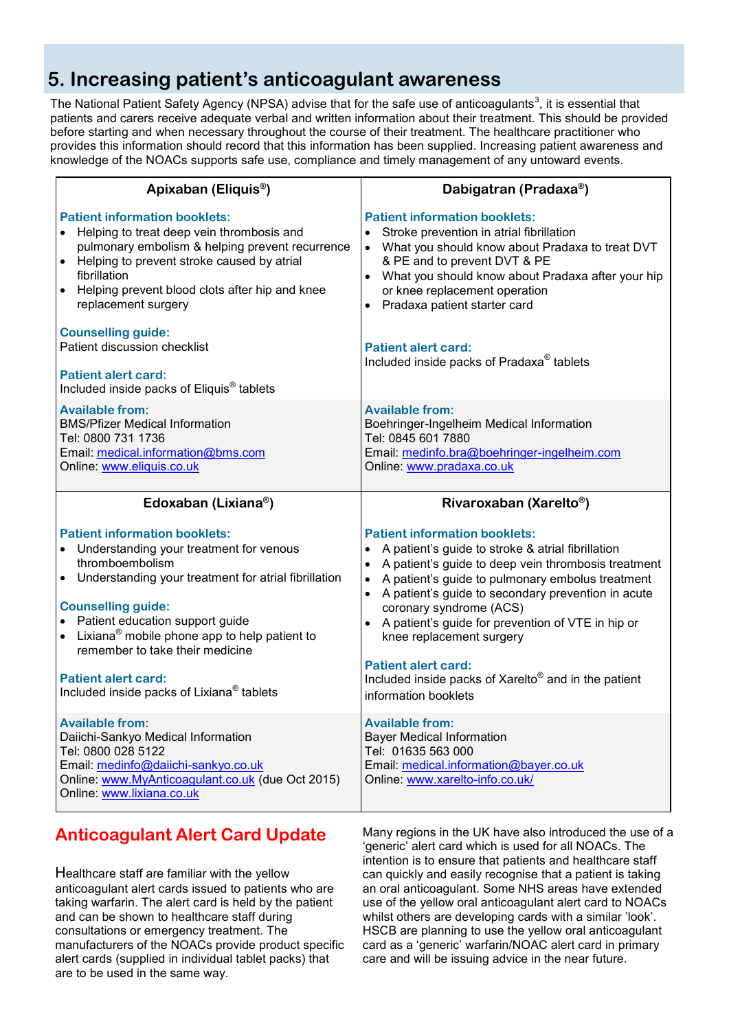# **5. Increasing patient's anticoagulant awareness**

The National Patient Safety Agency (NPSA) advise that for the safe use of anticoagulants<sup>3</sup>, it is essential that patients and carers receive adequate verbal and written information about their treatment. This should be provided before starting and when necessary throughout the course of their treatment. The healthcare practitioner who provides this information should record that this information has been supplied. Increasing patient awareness and knowledge of the NOACs supports safe use, compliance and timely management of any untoward events.

| Apixaban (Eliquis <sup>®</sup> )                                                                                                                                                                                                                                                                                                                                                                                                          | Dabigatran (Pradaxa®)                                                                                                                                                                                                                                                                                                                                                                                                                                                                                                      |  |
|-------------------------------------------------------------------------------------------------------------------------------------------------------------------------------------------------------------------------------------------------------------------------------------------------------------------------------------------------------------------------------------------------------------------------------------------|----------------------------------------------------------------------------------------------------------------------------------------------------------------------------------------------------------------------------------------------------------------------------------------------------------------------------------------------------------------------------------------------------------------------------------------------------------------------------------------------------------------------------|--|
| <b>Patient information booklets:</b><br>Helping to treat deep vein thrombosis and<br>$\bullet$<br>pulmonary embolism & helping prevent recurrence<br>Helping to prevent stroke caused by atrial<br>fibrillation<br>Helping prevent blood clots after hip and knee<br>$\bullet$<br>replacement surgery                                                                                                                                     | <b>Patient information booklets:</b><br>Stroke prevention in atrial fibrillation<br>$\bullet$<br>What you should know about Pradaxa to treat DVT<br>$\bullet$<br>& PE and to prevent DVT & PE<br>What you should know about Pradaxa after your hip<br>or knee replacement operation<br>• Pradaxa patient starter card                                                                                                                                                                                                      |  |
| <b>Counselling guide:</b><br>Patient discussion checklist<br><b>Patient alert card:</b><br>Included inside packs of Eliquis <sup>®</sup> tablets                                                                                                                                                                                                                                                                                          | Patient alert card:<br>Included inside packs of Pradaxa <sup>®</sup> tablets                                                                                                                                                                                                                                                                                                                                                                                                                                               |  |
| <b>Available from:</b><br><b>BMS/Pfizer Medical Information</b><br>Tel: 0800 731 1736<br>Email: medical.information@bms.com<br>Online: www.eliquis.co.uk                                                                                                                                                                                                                                                                                  | <b>Available from:</b><br>Boehringer-Ingelheim Medical Information<br>Tel: 0845 601 7880<br>Email: medinfo.bra@boehringer-ingelheim.com<br>Online: www.pradaxa.co.uk                                                                                                                                                                                                                                                                                                                                                       |  |
| Edoxaban (Lixiana <sup>®</sup> )                                                                                                                                                                                                                                                                                                                                                                                                          | Rivaroxaban (Xarelto <sup>®</sup> )                                                                                                                                                                                                                                                                                                                                                                                                                                                                                        |  |
|                                                                                                                                                                                                                                                                                                                                                                                                                                           |                                                                                                                                                                                                                                                                                                                                                                                                                                                                                                                            |  |
| <b>Patient information booklets:</b><br>Understanding your treatment for venous<br>thromboembolism<br>Understanding your treatment for atrial fibrillation<br>$\bullet$<br><b>Counselling guide:</b><br>• Patient education support guide<br>$\bullet$ Lixiana <sup>®</sup> mobile phone app to help patient to<br>remember to take their medicine<br><b>Patient alert card:</b><br>Included inside packs of Lixiana <sup>®</sup> tablets | <b>Patient information booklets:</b><br>A patient's guide to stroke & atrial fibrillation<br>A patient's guide to deep vein thrombosis treatment<br>A patient's guide to pulmonary embolus treatment<br>$\bullet$<br>A patient's guide to secondary prevention in acute<br>$\bullet$<br>coronary syndrome (ACS)<br>A patient's guide for prevention of VTE in hip or<br>knee replacement surgery<br><b>Patient alert card:</b><br>Included inside packs of Xarelto <sup>®</sup> and in the patient<br>information booklets |  |

## **Anticoagulant Alert Card Update**

Healthcare staff are familiar with the yellow anticoagulant alert cards issued to patients who are taking warfarin. The alert card is held by the patient and can be shown to healthcare staff during consultations or emergency treatment. The manufacturers of the NOACs provide product specific alert cards (supplied in individual tablet packs) that are to be used in the same way.

Many regions in the UK have also introduced the use of a 'generic' alert card which is used for all NOACs. The intention is to ensure that patients and healthcare staff can quickly and easily recognise that a patient is taking an oral anticoagulant. Some NHS areas have extended use of the yellow oral anticoagulant alert card to NOACs whilst others are developing cards with a similar 'look'. HSCB are planning to use the yellow oral anticoagulant card as a 'generic' warfarin/NOAC alert card in primary care and will be issuing advice in the near future.